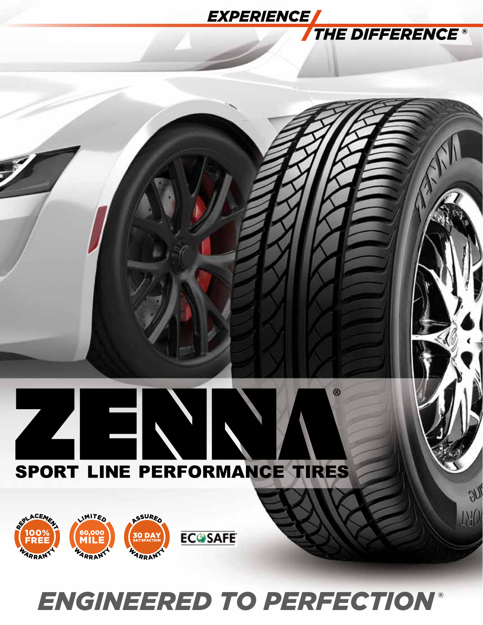# **EXPERIENCE THE DIFFERENCE<sup>®</sup>**  $\circledR$ E SPORT LINE PERFORMANCE TIRES  $\partial\eta_{\ell}$ REPLACEME  $1.40$ ASSURED LIMITED 60,000<br>**MILE ECOSAFE 30 DA**<br>satisfact FREE

# *ENGINEERED TO PERFECTION*

WARRANT

**LARRANT** 

WARRANT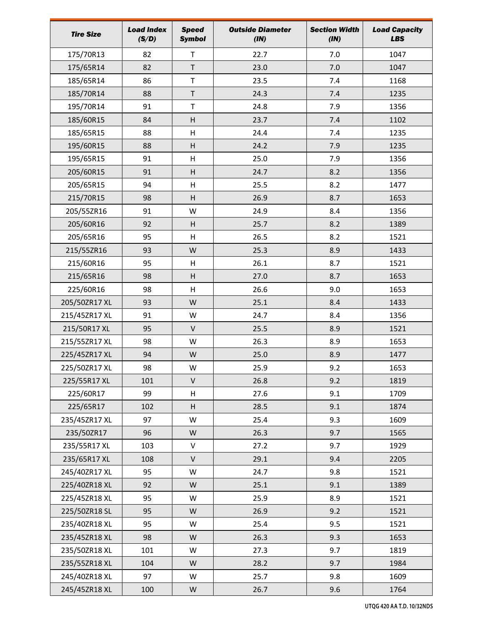| <b>Tire Size</b> | <b>Load Index</b><br>(S/D) | <b>Speed</b><br><b>Symbol</b> | <b>Outside Diameter</b><br>(IN) | <b>Section Width</b><br>(IN) | <b>Load Capacity</b><br><b>LBS</b> |
|------------------|----------------------------|-------------------------------|---------------------------------|------------------------------|------------------------------------|
| 175/70R13        | 82                         | T                             | 22.7                            | 7.0                          | 1047                               |
| 175/65R14        | 82                         | T                             | 23.0                            | 7.0                          | 1047                               |
| 185/65R14        | 86                         | T                             | 23.5                            | 7.4                          | 1168                               |
| 185/70R14        | 88                         | $\sf T$                       | 24.3                            | 7.4                          | 1235                               |
| 195/70R14        | 91                         | T                             | 24.8                            | 7.9                          | 1356                               |
| 185/60R15        | 84                         | H                             | 23.7                            | 7.4                          | 1102                               |
| 185/65R15        | 88                         | H                             | 24.4                            | 7.4                          | 1235                               |
| 195/60R15        | 88                         | H                             | 24.2                            | 7.9                          | 1235                               |
| 195/65R15        | 91                         | H                             | 25.0                            | 7.9                          | 1356                               |
| 205/60R15        | 91                         | H                             | 24.7                            | 8.2                          | 1356                               |
| 205/65R15        | 94                         | H                             | 25.5                            | 8.2                          | 1477                               |
| 215/70R15        | 98                         | H                             | 26.9                            | 8.7                          | 1653                               |
| 205/55ZR16       | 91                         | W                             | 24.9                            | 8.4                          | 1356                               |
| 205/60R16        | 92                         | H                             | 25.7                            | 8.2                          | 1389                               |
| 205/65R16        | 95                         | H                             | 26.5                            | 8.2                          | 1521                               |
| 215/55ZR16       | 93                         | W                             | 25.3                            | 8.9                          | 1433                               |
| 215/60R16        | 95                         | H                             | 26.1                            | 8.7                          | 1521                               |
| 215/65R16        | 98                         | H                             | 27.0                            | 8.7                          | 1653                               |
| 225/60R16        | 98                         | H                             | 26.6                            | 9.0                          | 1653                               |
| 205/50ZR17 XL    | 93                         | W                             | 25.1                            | 8.4                          | 1433                               |
| 215/45ZR17 XL    | 91                         | W                             | 24.7                            | 8.4                          | 1356                               |
| 215/50R17 XL     | 95                         | V                             | 25.5                            | 8.9                          | 1521                               |
| 215/55ZR17 XL    | 98                         | W                             | 26.3                            | 8.9                          | 1653                               |
| 225/45ZR17 XL    | 94                         | W                             | 25.0                            | 8.9                          | 1477                               |
| 225/50ZR17 XL    | 98                         | W                             | 25.9                            | 9.2                          | 1653                               |
| 225/55R17 XL     | 101                        | V                             | 26.8                            | 9.2                          | 1819                               |
| 225/60R17        | 99                         | H                             | 27.6                            | 9.1                          | 1709                               |
| 225/65R17        | 102                        | H                             | 28.5                            | 9.1                          | 1874                               |
| 235/45ZR17 XL    | 97                         | W                             | 25.4                            | 9.3                          | 1609                               |
| 235/50ZR17       | 96                         | W                             | 26.3                            | 9.7                          | 1565                               |
| 235/55R17 XL     | 103                        | V                             | 27.2                            | 9.7                          | 1929                               |
| 235/65R17 XL     | 108                        | V                             | 29.1                            | 9.4                          | 2205                               |
| 245/40ZR17 XL    | 95                         | W                             | 24.7                            | 9.8                          | 1521                               |
| 225/40ZR18 XL    | 92                         | W                             | 25.1                            | 9.1                          | 1389                               |
| 225/45ZR18 XL    | 95                         | W                             | 25.9                            | 8.9                          | 1521                               |
| 225/50ZR18 SL    | 95                         | W                             | 26.9                            | 9.2                          | 1521                               |
| 235/40ZR18 XL    | 95                         | W                             | 25.4                            | 9.5                          | 1521                               |
| 235/45ZR18 XL    | 98                         | W                             | 26.3                            | 9.3                          | 1653                               |
| 235/50ZR18 XL    | 101                        | W                             | 27.3                            | 9.7                          | 1819                               |
| 235/55ZR18 XL    | 104                        | W                             | 28.2                            | 9.7                          | 1984                               |
| 245/40ZR18 XL    | 97                         | W                             | 25.7                            | 9.8                          | 1609                               |
| 245/45ZR18 XL    | 100                        | W                             | 26.7                            | 9.6                          | 1764                               |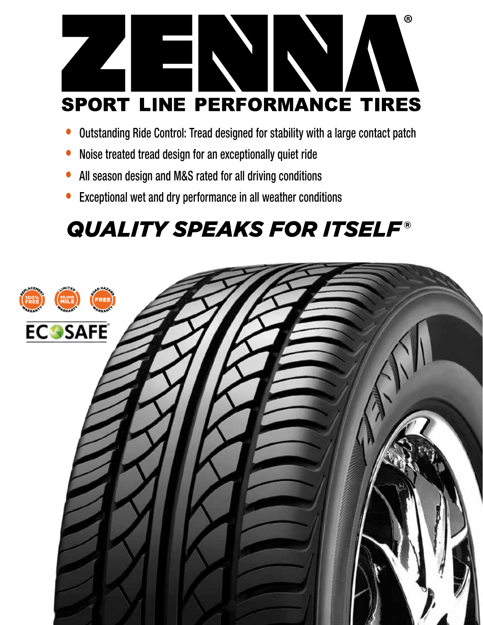

- Outstanding Ride Control: Tread designed for stability with a large contact patch
- Noise treated tread design for an exceptionally quiet ride
- All season design and M&S rated for all driving conditions
- Exceptional wet and dry performance in all weather conditions

# **QUALITY SPEAKS FOR ITSELF®**